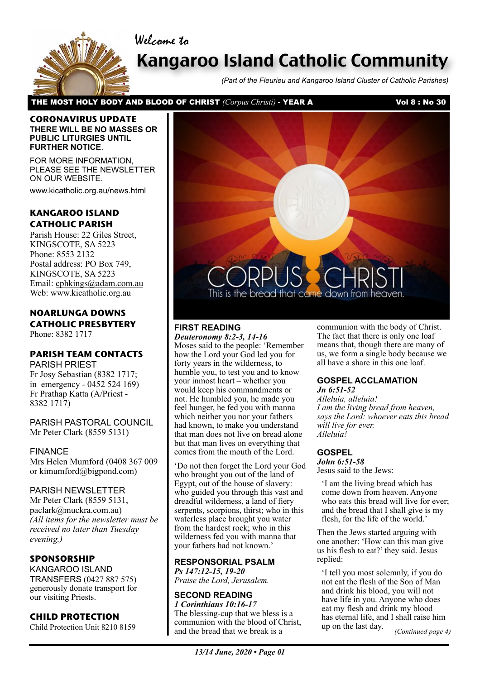Welcome to



# Kangaroo Island Catholic Community

*(Part of the Fleurieu and Kangaroo Island Cluster of Catholic Parishes)*

THE MOST HOLY BODY AND BLOOD OF CHRIST *(Corpus Christi)* - YEAR A Vol 8 : No 30

#### **CORONAVIRUS UPDATE THERE WILL BE NO MASSES OR PUBLIC LITURGIES UNTIL FURTHER NOTICE**.

FOR MORE INFORMATION, PLEASE SEE THE NEWSLETTER ON OUR WEBSITE.

www.kicatholic.org.au/news.html

### **KANGAROO ISLAND CATHOLIC PARISH**

Parish House: 22 Giles Street, KINGSCOTE, SA 5223 Phone: 8553 2132 Postal address: PO Box 749, KINGSCOTE, SA 5223 Email: cphkings@adam.com.au Web: www.kicatholic.org.au

### **NOARLUNGA DOWNS CATHOLIC PRESBYTERY**

Phone: 8382 1717

### **PARISH TEAM CONTACTS**

PARISH PRIEST Fr Josy Sebastian (8382 1717; in emergency - 0452 524 169) Fr Prathap Katta (A/Priest - 8382 1717)

PARISH PASTORAL COUNCIL Mr Peter Clark (8559 5131)

#### FINANCE

Mrs Helen Mumford (0408 367 009 or kimumford@bigpond.com)

#### PARISH NEWSLETTER

Mr Peter Clark (8559 5131, paclark@muckra.com.au) *(All items for the newsletter must be received no later than Tuesday evening.)*

### **SPONSORSHIP**

KANGAROO ISLAND TRANSFERS (0427 887 575) generously donate transport for our visiting Priests.

#### **CHILD PROTECTION**

Child Protection Unit 8210 8159



### **FIRST READING**

*Deuteronomy 8:2-3, 14-16* Moses said to the people: 'Remember how the Lord your God led you for forty years in the wilderness, to humble you, to test you and to know your inmost heart – whether you would keep his commandments or not. He humbled you, he made you feel hunger, he fed you with manna which neither you nor your fathers had known, to make you understand that man does not live on bread alone but that man lives on everything that comes from the mouth of the Lord.

'Do not then forget the Lord your God who brought you out of the land of Egypt, out of the house of slavery: who guided you through this vast and dreadful wilderness, a land of fiery serpents, scorpions, thirst; who in this waterless place brought you water from the hardest rock; who in this wilderness fed you with manna that your fathers had not known.'

### **RESPONSORIAL PSALM**

*Ps 147:12-15, 19-20 Praise the Lord, Jerusalem.*

### **SECOND READING**

*1 Corinthians 10:16-17* The blessing-cup that we bless is a communion with the blood of Christ, and the bread that we break is a

communion with the body of Christ. The fact that there is only one loaf means that, though there are many of us, we form a single body because we all have a share in this one loaf.

### **GOSPEL ACCLAMATION**

*Jn 6:51-52 Alleluia, alleluia! I am the living bread from heaven, says the Lord: whoever eats this bread will live for ever. Alleluia!*

### **GOSPEL**

*John 6:51-58* Jesus said to the Jews:

'I am the living bread which has come down from heaven. Anyone who eats this bread will live for ever; and the bread that I shall give is my flesh, for the life of the world.'

Then the Jews started arguing with one another: 'How can this man give us his flesh to eat?' they said. Jesus replied:

'I tell you most solemnly, if you do not eat the flesh of the Son of Man and drink his blood, you will not have life in you. Anyone who does eat my flesh and drink my blood has eternal life, and I shall raise him up on the last day.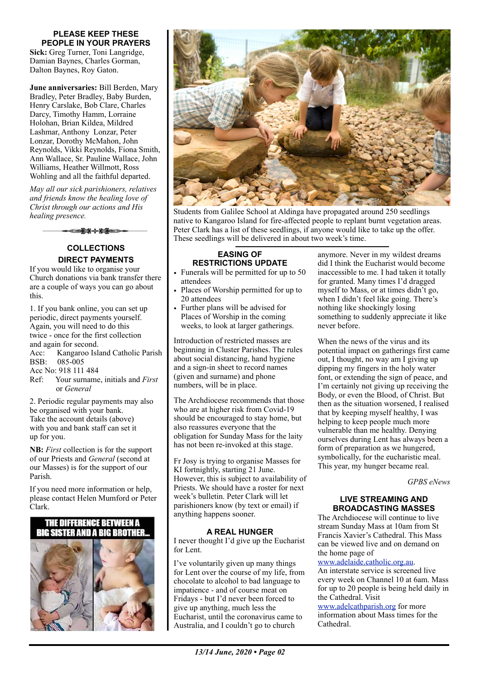#### **PLEASE KEEP THESE PEOPLE IN YOUR PRAYERS**

**Sick:** Greg Turner, Toni Langridge, Damian Baynes, Charles Gorman, Dalton Baynes, Roy Gaton.

**June anniversaries:** Bill Berden, Mary Bradley, Peter Bradley, Baby Burden, Henry Carslake, Bob Clare, Charles Darcy, Timothy Hamm, Lorraine Holohan, Brian Kildea, Mildred Lashmar, Anthony Lonzar, Peter Lonzar, Dorothy McMahon, John Reynolds, Vikki Reynolds, Fiona Smith, Ann Wallace, Sr. Pauline Wallace, John Williams, Heather Willmott, Ross Wohling and all the faithful departed.

*May all our sick parishioners, relatives and friends know the healing love of Christ through our actions and His healing presence.*

ఆ≩≭⊹⊁≨∈⇒∙

#### **COLLECTIONS DIRECT PAYMENTS**

If you would like to organise your Church donations via bank transfer there are a couple of ways you can go about this.

1. If you bank online, you can set up periodic, direct payments yourself. Again, you will need to do this twice - once for the first collection and again for second. Acc: Kangaroo Island Catholic Parish BSB: 085-005 Acc No: 918 111 484

Ref: Your surname, initials and *First* or *General*

2. Periodic regular payments may also be organised with your bank. Take the account details (above) with you and bank staff can set it up for you.

**NB:** *First* collection is for the support of our Priests and *General* (second at our Masses) is for the support of our Parish.

If you need more information or help, please contact Helen Mumford or Peter Clark.

### THE DIFFERENCE BETWEEN A **BIG SISTER AND A BIG BROTHER**





Students from Galilee School at Aldinga have propagated around 250 seedlings native to Kangaroo Island for fire-affected people to replant burnt vegetation areas. Peter Clark has a list of these seedlings, if anyone would like to take up the offer. These seedlings will be delivered in about two week's time.

#### **EASING OF RESTRICTIONS UPDATE**

- Funerals will be permitted for up to 50 attendees
- Places of Worship permitted for up to 20 attendees
- Further plans will be advised for Places of Worship in the coming weeks, to look at larger gatherings.

Introduction of restricted masses are beginning in Cluster Parishes. The rules about social distancing, hand hygiene and a sign-in sheet to record names (given and surname) and phone numbers, will be in place.

The Archdiocese recommends that those who are at higher risk from Covid-19 should be encouraged to stay home, but also reassures everyone that the obligation for Sunday Mass for the laity has not been re-invoked at this stage.

Fr Josy is trying to organise Masses for KI fortnightly, starting 21 June. However, this is subject to availability of Priests. We should have a roster for next week's bulletin. Peter Clark will let parishioners know (by text or email) if anything happens sooner.

#### **A REAL HUNGER**

I never thought I'd give up the Eucharist for Lent.

I've voluntarily given up many things for Lent over the course of my life, from chocolate to alcohol to bad language to impatience - and of course meat on Fridays - but I'd never been forced to give up anything, much less the Eucharist, until the coronavirus came to Australia, and I couldn't go to church

anymore. Never in my wildest dreams did I think the Eucharist would become inaccessible to me. I had taken it totally for granted. Many times I'd dragged myself to Mass, or at times didn't go, when I didn't feel like going. There's nothing like shockingly losing something to suddenly appreciate it like never before.

When the news of the virus and its potential impact on gatherings first came out, I thought, no way am I giving up dipping my fingers in the holy water font, or extending the sign of peace, and I'm certainly not giving up receiving the Body, or even the Blood, of Christ. But then as the situation worsened, I realised that by keeping myself healthy, I was helping to keep people much more vulnerable than me healthy. Denying ourselves during Lent has always been a form of preparation as we hungered, symbolically, for the eucharistic meal. This year, my hunger became real.

*GPBS eNews*

#### **LIVE STREAMING AND BROADCASTING MASSES**

The Archdiocese will continue to live stream Sunday Mass at 10am from St Francis Xavier's Cathedral. This Mass can be viewed live and on demand on the home page of

#### [www.adelaide.catholic.org.au](http://www.adelaide.catholic.org.au).

An interstate service is screened live every week on Channel 10 at 6am. Mass for up to 20 people is being held daily in the Cathedral. Visit

[www.adelcathparish.org](http://www.adelcathparish.org) for more information about Mass times for the Cathedral.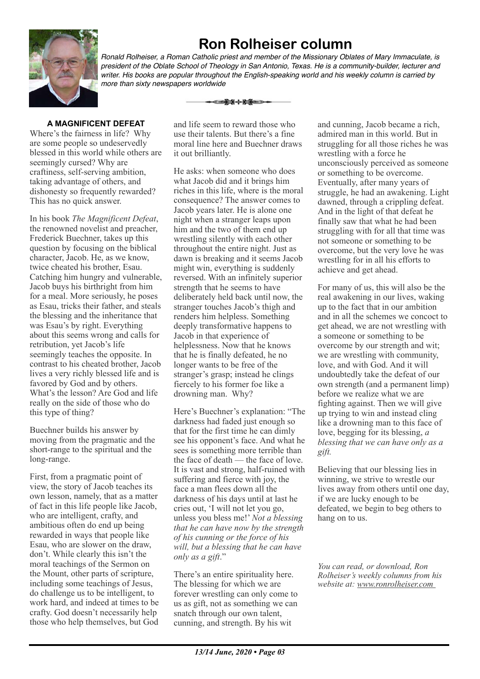# **Ron Rolheiser column**



*Ronald Rolheiser, a Roman Catholic priest and member of the Missionary Oblates of Mary Immaculate, is president of the Oblate School of Theology in San Antonio, Texas. He is a community-builder, lecturer and writer. His books are popular throughout the English-speaking world and his weekly column is carried by more than sixty newspapers worldwide*

#### **A MAGNIFICENT DEFEAT**

Where's the fairness in life? Why are some people so undeservedly blessed in this world while others are seemingly cursed? Why are craftiness, self-serving ambition, taking advantage of others, and dishonesty so frequently rewarded? This has no quick answer.

In his book *The Magnificent Defeat*, the renowned novelist and preacher, Frederick Buechner, takes up this question by focusing on the biblical character, Jacob. He, as we know, twice cheated his brother, Esau. Catching him hungry and vulnerable, Jacob buys his birthright from him for a meal. More seriously, he poses as Esau, tricks their father, and steals the blessing and the inheritance that was Esau's by right. Everything about this seems wrong and calls for retribution, yet Jacob's life seemingly teaches the opposite. In contrast to his cheated brother, Jacob lives a very richly blessed life and is favored by God and by others. What's the lesson? Are God and life really on the side of those who do this type of thing?

Buechner builds his answer by moving from the pragmatic and the short-range to the spiritual and the long-range.

First, from a pragmatic point of view, the story of Jacob teaches its own lesson, namely, that as a matter of fact in this life people like Jacob, who are intelligent, crafty, and ambitious often do end up being rewarded in ways that people like Esau, who are slower on the draw, don't. While clearly this isn't the moral teachings of the Sermon on the Mount, other parts of scripture, including some teachings of Jesus, do challenge us to be intelligent, to work hard, and indeed at times to be crafty. God doesn't necessarily help those who help themselves, but God

and life seem to reward those who use their talents. But there's a fine moral line here and Buechner draws it out brilliantly.

</u>

He asks: when someone who does what Jacob did and it brings him riches in this life, where is the moral consequence? The answer comes to Jacob years later. He is alone one night when a stranger leaps upon him and the two of them end up wrestling silently with each other throughout the entire night. Just as dawn is breaking and it seems Jacob might win, everything is suddenly reversed. With an infinitely superior strength that he seems to have deliberately held back until now, the stranger touches Jacob's thigh and renders him helpless. Something deeply transformative happens to Jacob in that experience of helplessness. Now that he knows that he is finally defeated, he no longer wants to be free of the stranger's grasp; instead he clings fiercely to his former foe like a drowning man. Why?

Here's Buechner's explanation: "The darkness had faded just enough so that for the first time he can dimly see his opponent's face. And what he sees is something more terrible than the face of death — the face of love. It is vast and strong, half-ruined with suffering and fierce with joy, the face a man flees down all the darkness of his days until at last he cries out, 'I will not let you go, unless you bless me!' *Not a blessing that he can have now by the strength of his cunning or the force of his will, but a blessing that he can have only as a gift*."

There's an entire spirituality here. The blessing for which we are forever wrestling can only come to us as gift, not as something we can snatch through our own talent, cunning, and strength. By his wit

and cunning, Jacob became a rich, admired man in this world. But in struggling for all those riches he was wrestling with a force he unconsciously perceived as someone or something to be overcome. Eventually, after many years of struggle, he had an awakening. Light dawned, through a crippling defeat. And in the light of that defeat he finally saw that what he had been struggling with for all that time was not someone or something to be overcome, but the very love he was wrestling for in all his efforts to achieve and get ahead.

For many of us, this will also be the real awakening in our lives, waking up to the fact that in our ambition and in all the schemes we concoct to get ahead, we are not wrestling with a someone or something to be overcome by our strength and wit; we are wrestling with community, love, and with God. And it will undoubtedly take the defeat of our own strength (and a permanent limp) before we realize what we are fighting against. Then we will give up trying to win and instead cling like a drowning man to this face of love, begging for its blessing, *a blessing that we can have only as a gift.*

Believing that our blessing lies in winning, we strive to wrestle our lives away from others until one day, if we are lucky enough to be defeated, we begin to beg others to hang on to us.

*You can read, or download, Ron Rolheiser's weekly columns from his website at: www.ronrolheiser.com*